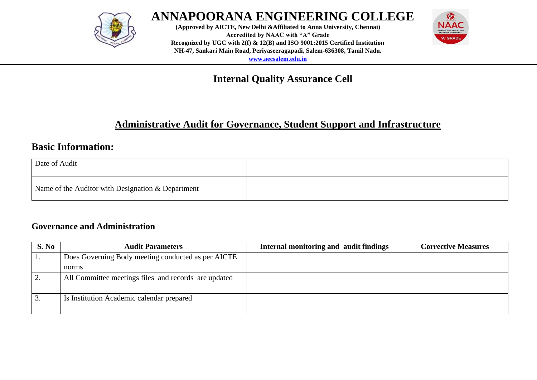

**(Approved by AICTE, New Delhi &Affiliated to Anna University, Chennai) Accredited by NAAC with "A" Grade Recognized by UGC with 2(f) & 12(B) and ISO 9001:2015 Certified Institution NH-47, Sankari Main Road, Periyaseeragapadi, Salem-636308, Tamil Nadu. [www.aecsalem.edu.in](http://www.aecsalem.edu.in/)**



## **Internal Quality Assurance Cell**

### **Administrative Audit for Governance, Student Support and Infrastructure**

### **Basic Information:**

| Date of Audit                                     |  |
|---------------------------------------------------|--|
| Name of the Auditor with Designation & Department |  |

#### **Governance and Administration**

| S. No | <b>Audit Parameters</b>                              | Internal monitoring and audit findings | <b>Corrective Measures</b> |
|-------|------------------------------------------------------|----------------------------------------|----------------------------|
|       | Does Governing Body meeting conducted as per AICTE   |                                        |                            |
|       | norms                                                |                                        |                            |
|       | All Committee meetings files and records are updated |                                        |                            |
| . .   | Is Institution Academic calendar prepared            |                                        |                            |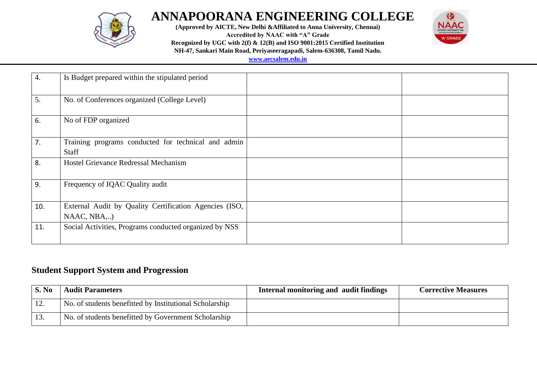

**(Approved by AICTE, New Delhi &Affiliated to Anna University, Chennai)**

**Accredited by NAAC with "A" Grade**



**Recognized by UGC with 2(f) & 12(B) and ISO 9001:2015 Certified Institution**

**NH-47, Sankari Main Road, Periyaseeragapadi, Salem-636308, Tamil Nadu.**

**[www.aecsalem.edu.in](http://www.aecsalem.edu.in/)**

| $\overline{4}$ . | Is Budget prepared within the stipulated period                       |  |
|------------------|-----------------------------------------------------------------------|--|
| 5.               | No. of Conferences organized (College Level)                          |  |
| 6.               | No of FDP organized                                                   |  |
| 7.               | Training programs conducted for technical and admin<br>Staff          |  |
| 8.               | Hostel Grievance Redressal Mechanism                                  |  |
| 9.               | Frequency of IQAC Quality audit                                       |  |
| 10.              | External Audit by Quality Certification Agencies (ISO,<br>NAAC, NBA,) |  |
| 11.              | Social Activities, Programs conducted organized by NSS                |  |

#### **Student Support System and Progression**

| S. No   | <b>Audit Parameters</b>                                 | Internal monitoring and audit findings | <b>Corrective Measures</b> |
|---------|---------------------------------------------------------|----------------------------------------|----------------------------|
| $\perp$ | No. of students benefitted by Institutional Scholarship |                                        |                            |
| 1.3.    | No. of students benefitted by Government Scholarship    |                                        |                            |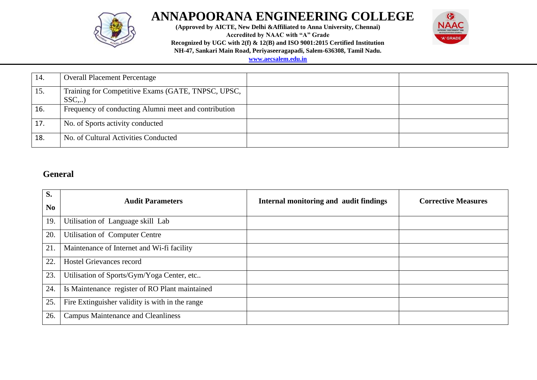

**(Approved by AICTE, New Delhi &Affiliated to Anna University, Chennai)**

**Accredited by NAAC with "A" Grade**



**Recognized by UGC with 2(f) & 12(B) and ISO 9001:2015 Certified Institution**

**NH-47, Sankari Main Road, Periyaseeragapadi, Salem-636308, Tamil Nadu.**

**[www.aecsalem.edu.in](http://www.aecsalem.edu.in/)**

| 14. | <b>Overall Placement Percentage</b>                         |  |
|-----|-------------------------------------------------------------|--|
| 15. | Training for Competitive Exams (GATE, TNPSC, UPSC,<br>$SSC$ |  |
| 16. | Frequency of conducting Alumni meet and contribution        |  |
| 17. | No. of Sports activity conducted                            |  |
| 18. | No. of Cultural Activities Conducted                        |  |

### **General**

| S.<br>N <sub>0</sub> | <b>Audit Parameters</b>                         | Internal monitoring and audit findings | <b>Corrective Measures</b> |
|----------------------|-------------------------------------------------|----------------------------------------|----------------------------|
|                      |                                                 |                                        |                            |
| 19.                  | Utilisation of Language skill Lab               |                                        |                            |
| 20.                  | Utilisation of Computer Centre                  |                                        |                            |
| 21.                  | Maintenance of Internet and Wi-fi facility      |                                        |                            |
| 22.                  | <b>Hostel Grievances record</b>                 |                                        |                            |
| 23.                  | Utilisation of Sports/Gym/Yoga Center, etc      |                                        |                            |
| 24.                  | Is Maintenance register of RO Plant maintained  |                                        |                            |
| 25.                  | Fire Extinguisher validity is with in the range |                                        |                            |
| 26.                  | <b>Campus Maintenance and Cleanliness</b>       |                                        |                            |